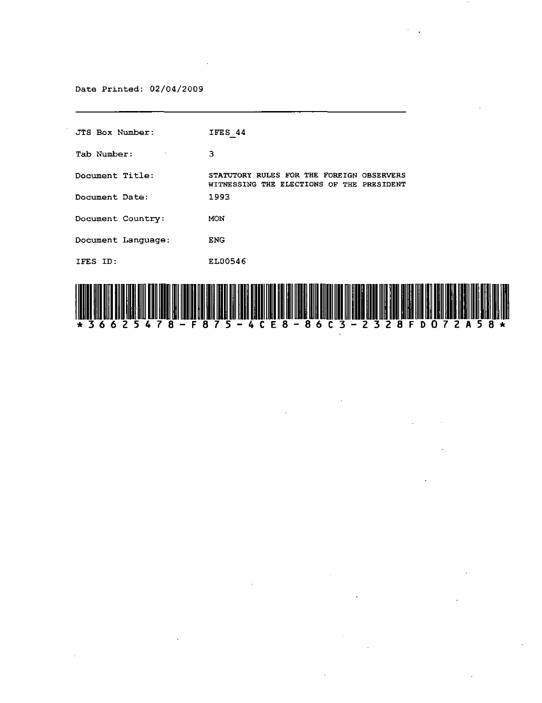Date Printed: 02/04/2009

 $\mathcal{L}$ 

| JTS Box Number:    | IFES 44                                                                                |
|--------------------|----------------------------------------------------------------------------------------|
| Tab Number:        | 3                                                                                      |
| Document Title:    | STATUTORY RULES FOR THE FOREIGN OBSERVERS<br>WITNESSING THE ELECTIONS OF THE PRESIDENT |
| Document Date:     | 1993                                                                                   |
| Document Country:  | MON                                                                                    |
| Document Language: | <b>ENG</b>                                                                             |
| IFES ID:           | EL00546                                                                                |
|                    |                                                                                        |



 $\mathcal{A}^{\mathcal{A}}$  and  $\mathcal{A}^{\mathcal{A}}$  and  $\mathcal{A}^{\mathcal{A}}$ 

 $\sim$   $\sim$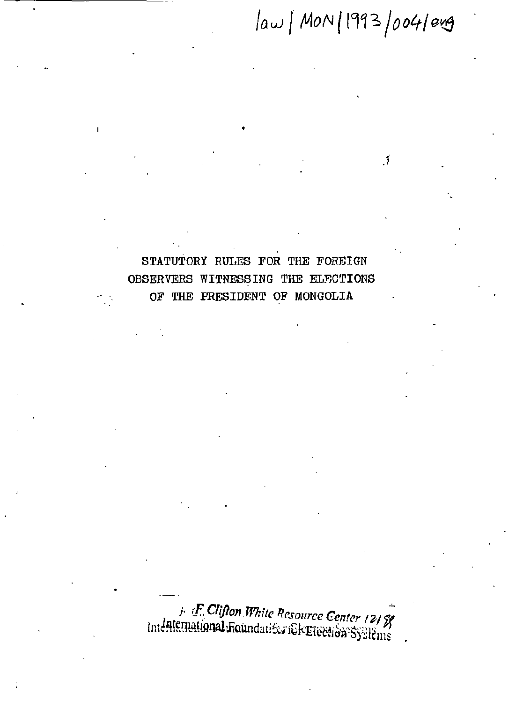$|aw|$  MON | 1993  $|004|$ erg

 $\mathbf{A}$ 

## STATUTORY RULES FOR THE FOREIGN OBSERVERS WITNESSING THE ELECTIONS OF THE PRESIDENT OF MONGOLIA

F. Clifton White Resource Center 1218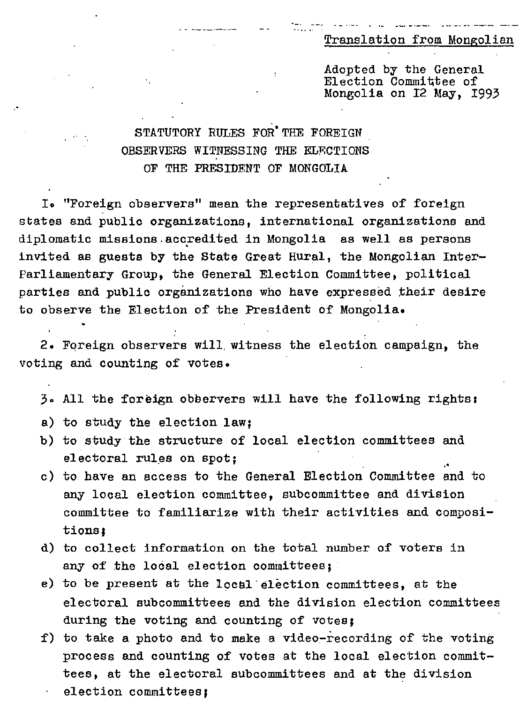-~. . - ""-- **\_..** .-- ---"-- ... **-." .. --- ---** Translation from Mongolian

Adopted by the General Election Committee of Mongolia on 12 May, 1993

## STATUTORY RULES FOR'THE FOREIGN OBSERVERS WITNESSING THE ELF.CTIONS OF THE PRESIDENT OF MONGOLIA

I. "Foreign observers" mean the representatives of foreign states and public organizations, international organizations and diplomatic missions accredited in Mongolia as well as persons invited as guests by the State Great Rural, the Mongolian Inter-Parliamentary Group, the General Election Committee, political parties and public organizations who have expressed their desire to observe the Election of the President of Mongolia.

2. Foreign observers will. witness the election campaign, the voting and counting of votes.

3. All the foreign observers will have the following rights:

- a) to study the election law;
- b) to study the structure of local election committees and electoral rules on spot:
- c) to have an access to the General Election Committee and to any local election committee, subcommittee and division committee to familiarize with their activities and compositions:
- d) to collect information on the total number of voters in any of the local election committees;
- e) to be present at the locel·election committees, at the electoral subcommittees and the division election committees during the voting and counting of votes;
- f) to take a photo and to make a video-recording of the voting process and counting of votes at the local election committees, at the electoral subcommittees and at the division election committees: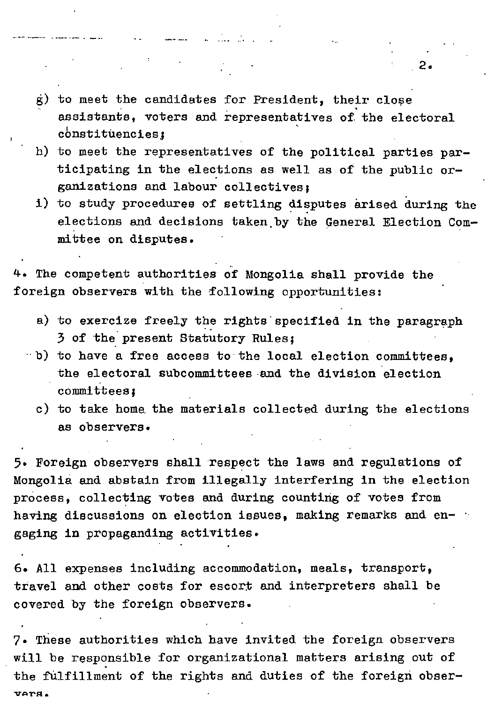- g) to meet the candidates for President, their close assistants, voters and representatives of. the electoral constituencies:
- h) to meet the representatives of the political parties participating in the elections as well as of the public organizations and labour collectives I
- i) to study procedures of settling disputes arised during the elections and decisions taken.by the General Election Committee on disputes.

4. The competent authorities of Mongolia shall provide the foreign observers with the following opportunities:

- a) to exercize freely the rights specified in the paragraph 3 of the present Statutory Rules:
- ··b) to have a free access to the local election committees, the electoral subcommittees and the division election committees I
	- c) to take home. the materials collected during the elections **8S observers.**

5. Foreign observers shall respect the laws and regulations of Mongolia and abstain from illegally interfering in the election process, collecting votes and during counting of votes from having discussions on election issues, making remarks and engaging in propaganding activities.

6. All expenses including accommodation, meals, transport, travel and other costs for escort and interpreters shall be covered by the foreign observers.

7. These authorities which have invited the foreign observers will be responsible for organizational matters arising out of the fUlfillment of the rights and duties of the foreign obser-**V&:IT'A.** 

 $2.$